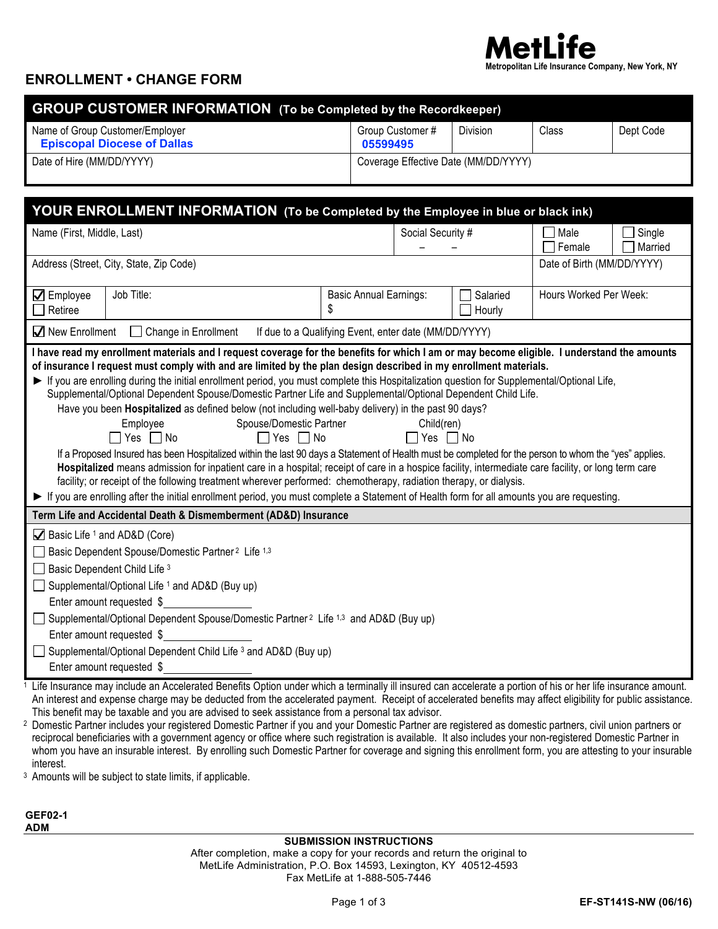

## **ENROLLMENT • CHANGE FORM**

| <b>GROUP CUSTOMER INFORMATION</b> (To be Completed by the Recordkeeper)                                                                                                                                                                                                                                                                                                                                                                                                                                                                                                                                                                                                                                                                                                                                                                                                                                                                                                                                                                                                                                                                                                |                                                       |                                      |                        |           |  |  |  |
|------------------------------------------------------------------------------------------------------------------------------------------------------------------------------------------------------------------------------------------------------------------------------------------------------------------------------------------------------------------------------------------------------------------------------------------------------------------------------------------------------------------------------------------------------------------------------------------------------------------------------------------------------------------------------------------------------------------------------------------------------------------------------------------------------------------------------------------------------------------------------------------------------------------------------------------------------------------------------------------------------------------------------------------------------------------------------------------------------------------------------------------------------------------------|-------------------------------------------------------|--------------------------------------|------------------------|-----------|--|--|--|
| Name of Group Customer/Employer<br><b>Episcopal Diocese of Dallas</b>                                                                                                                                                                                                                                                                                                                                                                                                                                                                                                                                                                                                                                                                                                                                                                                                                                                                                                                                                                                                                                                                                                  | Group Customer #<br>05599495                          | Division                             | Class                  | Dept Code |  |  |  |
| Date of Hire (MM/DD/YYYY)                                                                                                                                                                                                                                                                                                                                                                                                                                                                                                                                                                                                                                                                                                                                                                                                                                                                                                                                                                                                                                                                                                                                              |                                                       | Coverage Effective Date (MM/DD/YYYY) |                        |           |  |  |  |
|                                                                                                                                                                                                                                                                                                                                                                                                                                                                                                                                                                                                                                                                                                                                                                                                                                                                                                                                                                                                                                                                                                                                                                        |                                                       |                                      |                        |           |  |  |  |
| YOUR ENROLLMENT INFORMATION (To be Completed by the Employee in blue or black ink)                                                                                                                                                                                                                                                                                                                                                                                                                                                                                                                                                                                                                                                                                                                                                                                                                                                                                                                                                                                                                                                                                     |                                                       |                                      |                        |           |  |  |  |
| Name (First, Middle, Last)                                                                                                                                                                                                                                                                                                                                                                                                                                                                                                                                                                                                                                                                                                                                                                                                                                                                                                                                                                                                                                                                                                                                             | Social Security #                                     |                                      | $\Box$ Male            | Single    |  |  |  |
|                                                                                                                                                                                                                                                                                                                                                                                                                                                                                                                                                                                                                                                                                                                                                                                                                                                                                                                                                                                                                                                                                                                                                                        |                                                       |                                      | Female                 | Married   |  |  |  |
| Address (Street, City, State, Zip Code)                                                                                                                                                                                                                                                                                                                                                                                                                                                                                                                                                                                                                                                                                                                                                                                                                                                                                                                                                                                                                                                                                                                                |                                                       | Date of Birth (MM/DD/YYYY)           |                        |           |  |  |  |
|                                                                                                                                                                                                                                                                                                                                                                                                                                                                                                                                                                                                                                                                                                                                                                                                                                                                                                                                                                                                                                                                                                                                                                        |                                                       |                                      |                        |           |  |  |  |
| Job Title:<br>$\overline{\mathbf{y}}$ Employee<br>Retiree                                                                                                                                                                                                                                                                                                                                                                                                                                                                                                                                                                                                                                                                                                                                                                                                                                                                                                                                                                                                                                                                                                              | <b>Basic Annual Earnings:</b><br>\$                   | Salaried<br>Hourly                   | Hours Worked Per Week: |           |  |  |  |
|                                                                                                                                                                                                                                                                                                                                                                                                                                                                                                                                                                                                                                                                                                                                                                                                                                                                                                                                                                                                                                                                                                                                                                        |                                                       |                                      |                        |           |  |  |  |
| New Enrollment<br>$\Box$ Change in Enrollment<br>I have read my enrollment materials and I request coverage for the benefits for which I am or may become eligible. I understand the amounts                                                                                                                                                                                                                                                                                                                                                                                                                                                                                                                                                                                                                                                                                                                                                                                                                                                                                                                                                                           | If due to a Qualifying Event, enter date (MM/DD/YYYY) |                                      |                        |           |  |  |  |
| of insurance I request must comply with and are limited by the plan design described in my enrollment materials.<br>If you are enrolling during the initial enrollment period, you must complete this Hospitalization question for Supplemental/Optional Life,<br>Supplemental/Optional Dependent Spouse/Domestic Partner Life and Supplemental/Optional Dependent Child Life.<br>Have you been Hospitalized as defined below (not including well-baby delivery) in the past 90 days?<br>Spouse/Domestic Partner<br>Employee<br>$\Box$ Yes $\Box$ No<br>$\sqsupset$ Yes $\sqcap$ No<br>If a Proposed Insured has been Hospitalized within the last 90 days a Statement of Health must be completed for the person to whom the "yes" applies.<br>Hospitalized means admission for inpatient care in a hospital; receipt of care in a hospice facility, intermediate care facility, or long term care<br>facility; or receipt of the following treatment wherever performed: chemotherapy, radiation therapy, or dialysis.<br>If you are enrolling after the initial enrollment period, you must complete a Statement of Health form for all amounts you are requesting. |                                                       | Child(ren)<br>$\Box$ Yes $\Box$ No   |                        |           |  |  |  |
| Term Life and Accidental Death & Dismemberment (AD&D) Insurance                                                                                                                                                                                                                                                                                                                                                                                                                                                                                                                                                                                                                                                                                                                                                                                                                                                                                                                                                                                                                                                                                                        |                                                       |                                      |                        |           |  |  |  |
| $\sqrt{\phantom{a}}$ Basic Life 1 and AD&D (Core)<br>Basic Dependent Spouse/Domestic Partner <sup>2</sup> Life <sup>1,3</sup><br>Basic Dependent Child Life 3<br>□ Supplemental/Optional Life 1 and AD&D (Buy up)<br>Enter amount requested \$<br>Supplemental/Optional Dependent Spouse/Domestic Partner <sup>2</sup> Life 1,3 and AD&D (Buy up)<br>ப                                                                                                                                                                                                                                                                                                                                                                                                                                                                                                                                                                                                                                                                                                                                                                                                                 |                                                       |                                      |                        |           |  |  |  |
| Enter amount requested \$<br>□ Supplemental/Optional Dependent Child Life 3 and AD&D (Buy up)<br>Enter amount requested \$<br>Life Ingurance may include an Accelerated Repetite Option under which a terminally ill ingurad can accelerate a parties of his or her life ingurance                                                                                                                                                                                                                                                                                                                                                                                                                                                                                                                                                                                                                                                                                                                                                                                                                                                                                     |                                                       |                                      |                        |           |  |  |  |

Life Insurance may include an Accelerated Benefits Option under which a terminally ill insured can accelerate a portion of his or her life insurance amount. An interest and expense charge may be deducted from the accelerated payment. Receipt of accelerated benefits may affect eligibility for public assistance. This benefit may be taxable and you are advised to seek assistance from a personal tax advisor.

<sup>2</sup> Domestic Partner includes your registered Domestic Partner if you and your Domestic Partner are registered as domestic partners, civil union partners or reciprocal beneficiaries with a government agency or office where such registration is available. It also includes your non-registered Domestic Partner in whom you have an insurable interest. By enrolling such Domestic Partner for coverage and signing this enrollment form, you are attesting to your insurable interest.

<sup>3</sup> Amounts will be subject to state limits, if applicable.

**GEF02-1 ADM**

## **SUBMISSION INSTRUCTIONS**

After completion, make a copy for your records and return the original to MetLife Administration, P.O. Box 14593, Lexington, KY 40512-4593 Fax MetLife at 1-888-505-7446